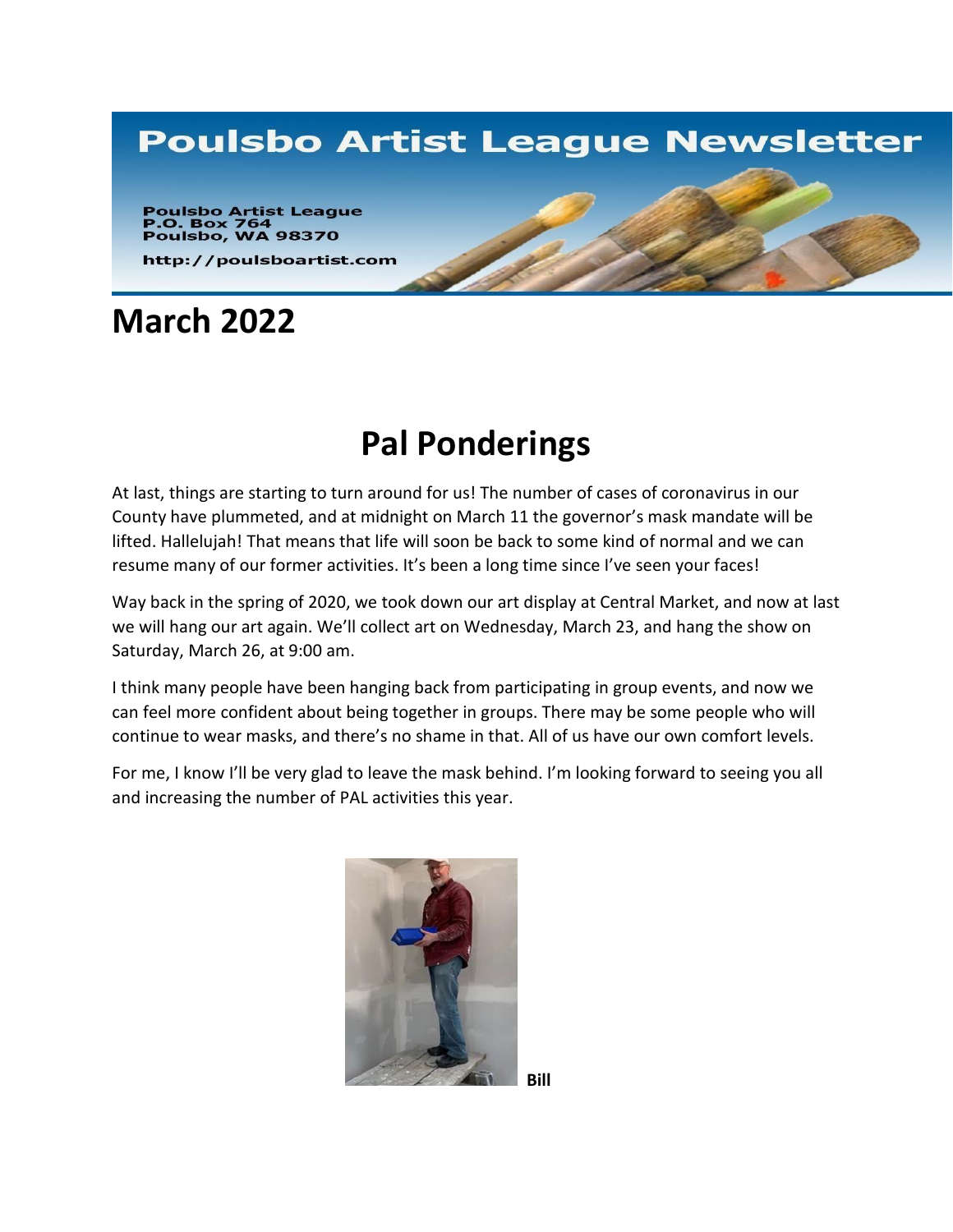## **Poulsbo Artist League Newsletter**

**Poulsbo Artist League<br>P.O. Box 764<br>Poulsbo, WA 98370** 

http://poulsboartist.com

## **March 2022**

# **Pal Ponderings**

At last, things are starting to turn around for us! The number of cases of coronavirus in our County have plummeted, and at midnight on March 11 the governor's mask mandate will be lifted. Hallelujah! That means that life will soon be back to some kind of normal and we can resume many of our former activities. It's been a long time since I've seen your faces!

Way back in the spring of 2020, we took down our art display at Central Market, and now at last we will hang our art again. We'll collect art on Wednesday, March 23, and hang the show on Saturday, March 26, at 9:00 am.

I think many people have been hanging back from participating in group events, and now we can feel more confident about being together in groups. There may be some people who will continue to wear masks, and there's no shame in that. All of us have our own comfort levels.

For me, I know I'll be very glad to leave the mask behind. I'm looking forward to seeing you all and increasing the number of PAL activities this year.



**Bill**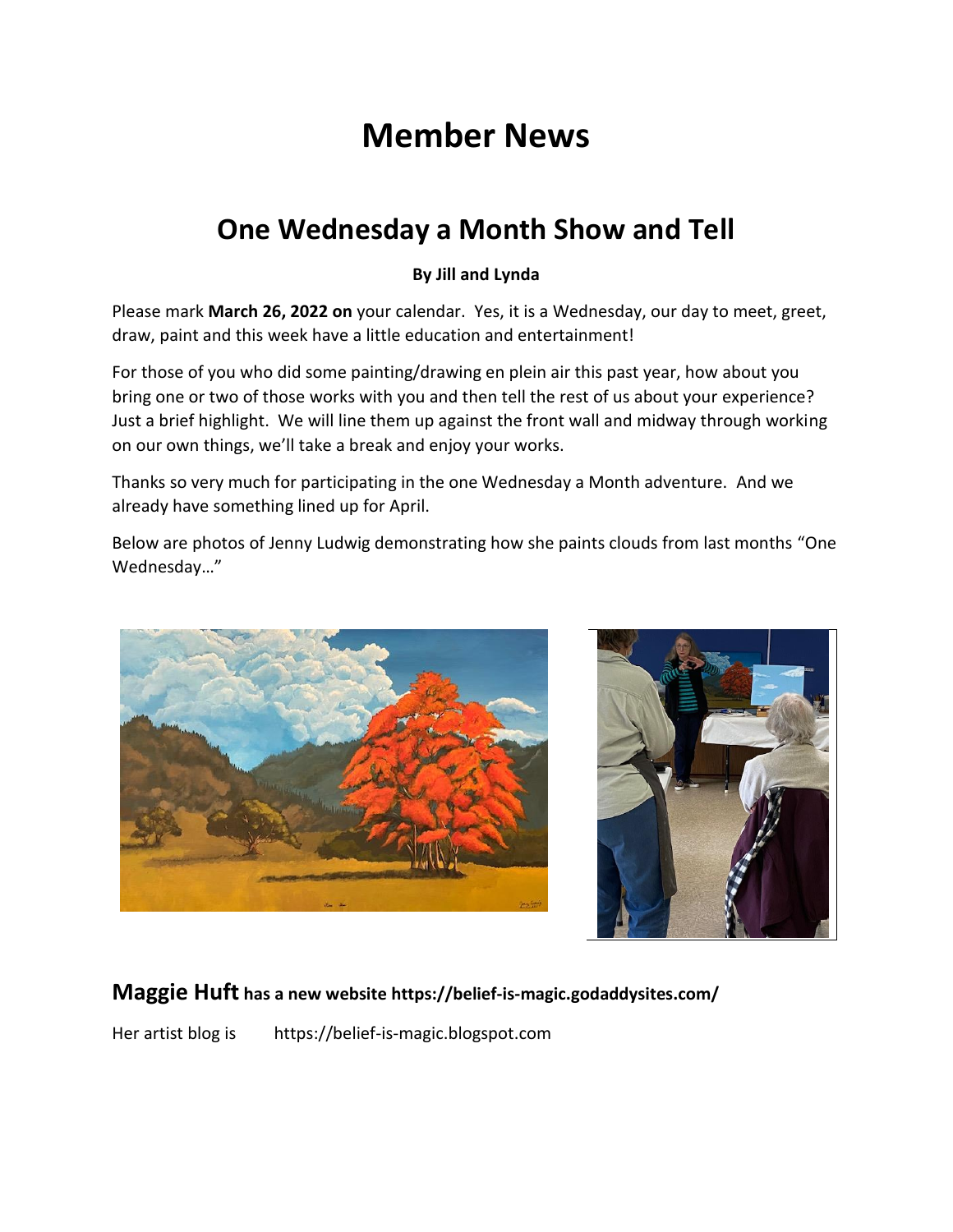# **Member News**

## **One Wednesday a Month Show and Tell**

#### **By Jill and Lynda**

Please mark **March 26, 2022 on** your calendar. Yes, it is a Wednesday, our day to meet, greet, draw, paint and this week have a little education and entertainment!

For those of you who did some painting/drawing en plein air this past year, how about you bring one or two of those works with you and then tell the rest of us about your experience? Just a brief highlight. We will line them up against the front wall and midway through working on our own things, we'll take a break and enjoy your works.

Thanks so very much for participating in the one Wednesday a Month adventure. And we already have something lined up for April.

Below are photos of Jenny Ludwig demonstrating how she paints clouds from last months "One Wednesday…"





#### **Maggie Huft has a new website https://belief-is-magic.godaddysites.com/**

Her artist blog is https://belief-is-magic.blogspot.com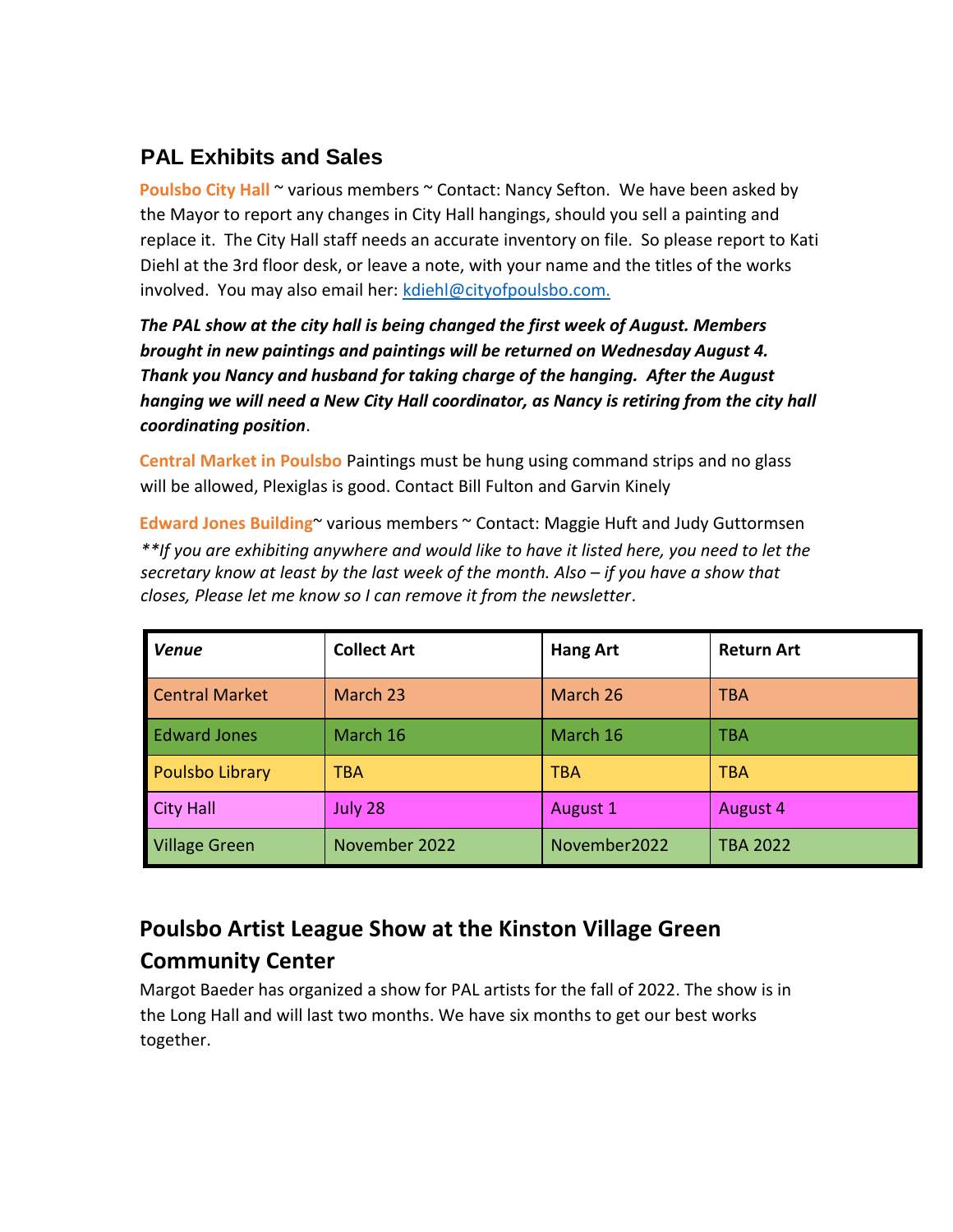### **PAL Exhibits and Sales**

**Poulsbo City Hall**  $\sim$  various members  $\sim$  Contact: Nancy Sefton. We have been asked by the Mayor to report any changes in City Hall hangings, should you sell a painting and replace it. The City Hall staff needs an accurate inventory on file. So please report to Kati Diehl at the 3rd floor desk, or leave a note, with your name and the titles of the works involved. You may also email her: kdiehl@cityofpoulsbo.com.

*The PAL show at the city hall is being changed the first week of August. Members brought in new paintings and paintings will be returned on Wednesday August 4. Thank you Nancy and husband for taking charge of the hanging. After the August hanging we will need a New City Hall coordinator, as Nancy is retiring from the city hall coordinating position*.

**Central Market in Poulsbo** Paintings must be hung using command strips and no glass will be allowed, Plexiglas is good. Contact Bill Fulton and Garvin Kinely

**Edward Jones Building**~ various members ~ Contact: Maggie Huft and Judy Guttormsen *\*\*If you are exhibiting anywhere and would like to have it listed here, you need to let the secretary know at least by the last week of the month. Also – if you have a show that closes, Please let me know so I can remove it from the newsletter*.

| <b>Venue</b>           | <b>Collect Art</b> | <b>Hang Art</b> | <b>Return Art</b> |
|------------------------|--------------------|-----------------|-------------------|
| <b>Central Market</b>  | March 23           | March 26        | <b>TBA</b>        |
| <b>Edward Jones</b>    | March 16           | March 16        | TBA               |
| <b>Poulsbo Library</b> | TBA                | <b>TBA</b>      | <b>TBA</b>        |
| <b>City Hall</b>       | July 28            | August 1        | August 4          |
| <b>Village Green</b>   | November 2022      | November2022    | <b>TBA 2022</b>   |

### **Poulsbo Artist League Show at the Kinston Village Green Community Center**

Margot Baeder has organized a show for PAL artists for the fall of 2022. The show is in the Long Hall and will last two months. We have six months to get our best works together.